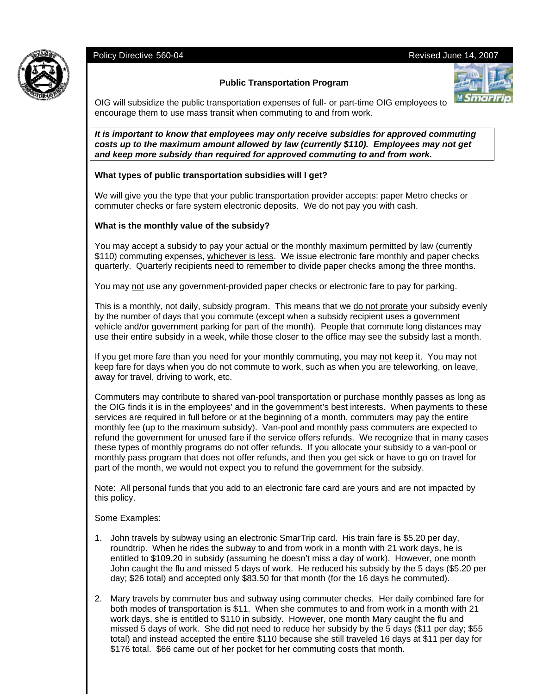# Policy Directive 560-04 Revised June 14, 2007



# **Public Transportation Program**



OIG will subsidize the public transportation expenses of full- or part-time OIG employees to encourage them to use mass transit when commuting to and from work.

*It is important to know that employees may only receive subsidies for approved commuting costs up to the maximum amount allowed by law (currently \$110). Employees may not get and keep more subsidy than required for approved commuting to and from work.* 

# **What types of public transportation subsidies will I get?**

We will give you the type that your public transportation provider accepts: paper Metro checks or commuter checks or fare system electronic deposits. We do not pay you with cash.

### **What is the monthly value of the subsidy?**

You may accept a subsidy to pay your actual or the monthly maximum permitted by law (currently \$110) commuting expenses, whichever is less. We issue electronic fare monthly and paper checks quarterly. Quarterly recipients need to remember to divide paper checks among the three months.

You may not use any government-provided paper checks or electronic fare to pay for parking.

This is a monthly, not daily, subsidy program. This means that we do not prorate your subsidy evenly by the number of days that you commute (except when a subsidy recipient uses a government vehicle and/or government parking for part of the month). People that commute long distances may use their entire subsidy in a week, while those closer to the office may see the subsidy last a month.

If you get more fare than you need for your monthly commuting, you may not keep it. You may not keep fare for days when you do not commute to work, such as when you are teleworking, on leave, away for travel, driving to work, etc.

Commuters may contribute to shared van-pool transportation or purchase monthly passes as long as the OIG finds it is in the employees' and in the government's best interests. When payments to these services are required in full before or at the beginning of a month, commuters may pay the entire monthly fee (up to the maximum subsidy). Van-pool and monthly pass commuters are expected to refund the government for unused fare if the service offers refunds. We recognize that in many cases these types of monthly programs do not offer refunds. If you allocate your subsidy to a van-pool or monthly pass program that does not offer refunds, and then you get sick or have to go on travel for part of the month, we would not expect you to refund the government for the subsidy.

Note: All personal funds that you add to an electronic fare card are yours and are not impacted by this policy.

Some Examples:

- 1. John travels by subway using an electronic SmarTrip card. His train fare is \$5.20 per day, roundtrip. When he rides the subway to and from work in a month with 21 work days, he is entitled to \$109.20 in subsidy (assuming he doesn't miss a day of work). However, one month John caught the flu and missed 5 days of work. He reduced his subsidy by the 5 days (\$5.20 per day; \$26 total) and accepted only \$83.50 for that month (for the 16 days he commuted).
- 2. Mary travels by commuter bus and subway using commuter checks. Her daily combined fare for both modes of transportation is \$11. When she commutes to and from work in a month with 21 work days, she is entitled to \$110 in subsidy. However, one month Mary caught the flu and missed 5 days of work. She did not need to reduce her subsidy by the 5 days (\$11 per day; \$55 total) and instead accepted the entire \$110 because she still traveled 16 days at \$11 per day for \$176 total. \$66 came out of her pocket for her commuting costs that month.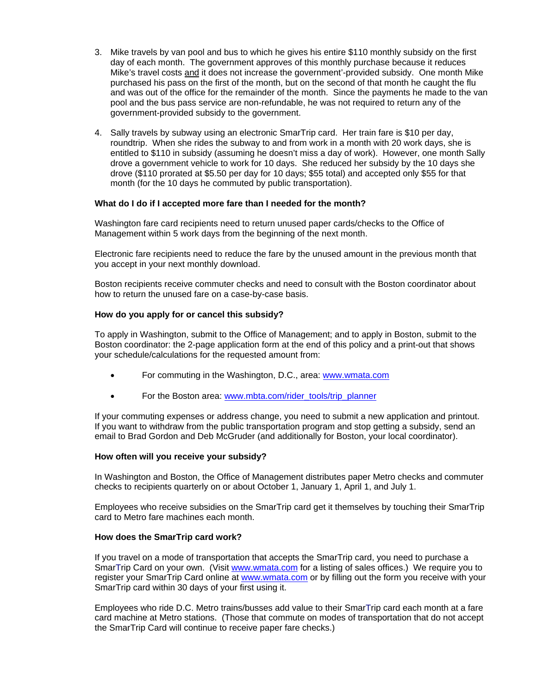- 3. Mike travels by van pool and bus to which he gives his entire \$110 monthly subsidy on the first day of each month. The government approves of this monthly purchase because it reduces Mike's travel costs and it does not increase the government'-provided subsidy. One month Mike purchased his pass on the first of the month, but on the second of that month he caught the flu and was out of the office for the remainder of the month. Since the payments he made to the van pool and the bus pass service are non-refundable, he was not required to return any of the government-provided subsidy to the government.
- 4. Sally travels by subway using an electronic SmarTrip card. Her train fare is \$10 per day, roundtrip. When she rides the subway to and from work in a month with 20 work days, she is entitled to \$110 in subsidy (assuming he doesn't miss a day of work). However, one month Sally drove a government vehicle to work for 10 days. She reduced her subsidy by the 10 days she drove (\$110 prorated at \$5.50 per day for 10 days; \$55 total) and accepted only \$55 for that month (for the 10 days he commuted by public transportation).

#### **What do I do if I accepted more fare than I needed for the month?**

Washington fare card recipients need to return unused paper cards/checks to the Office of Management within 5 work days from the beginning of the next month.

Electronic fare recipients need to reduce the fare by the unused amount in the previous month that you accept in your next monthly download.

Boston recipients receive commuter checks and need to consult with the Boston coordinator about how to return the unused fare on a case-by-case basis.

#### **How do you apply for or cancel this subsidy?**

To apply in Washington, submit to the Office of Management; and to apply in Boston, submit to the Boston coordinator: the 2-page application form at the end of this policy and a print-out that shows your schedule/calculations for the requested amount from:

- For commuting in the Washington, D.C., area: www.wmata.com
- For the Boston area: www.mbta.com/rider\_tools/trip\_planner

If your commuting expenses or address change, you need to submit a new application and printout. If you want to withdraw from the public transportation program and stop getting a subsidy, send an email to Brad Gordon and Deb McGruder (and additionally for Boston, your local coordinator).

#### **How often will you receive your subsidy?**

In Washington and Boston, the Office of Management distributes paper Metro checks and commuter checks to recipients quarterly on or about October 1, January 1, April 1, and July 1.

Employees who receive subsidies on the SmarTrip card get it themselves by touching their SmarTrip card to Metro fare machines each month.

#### **How does the SmarTrip card work?**

If you travel on a mode of transportation that accepts the SmarTrip card, you need to purchase a SmarTrip Card on your own. (Visit www.wmata.com for a listing of sales offices.) We require you to register your SmarTrip Card online at www.wmata.com or by filling out the form you receive with your SmarTrip card within 30 days of your first using it.

Employees who ride D.C. Metro trains/busses add value to their SmarTrip card each month at a fare card machine at Metro stations. (Those that commute on modes of transportation that do not accept the SmarTrip Card will continue to receive paper fare checks.)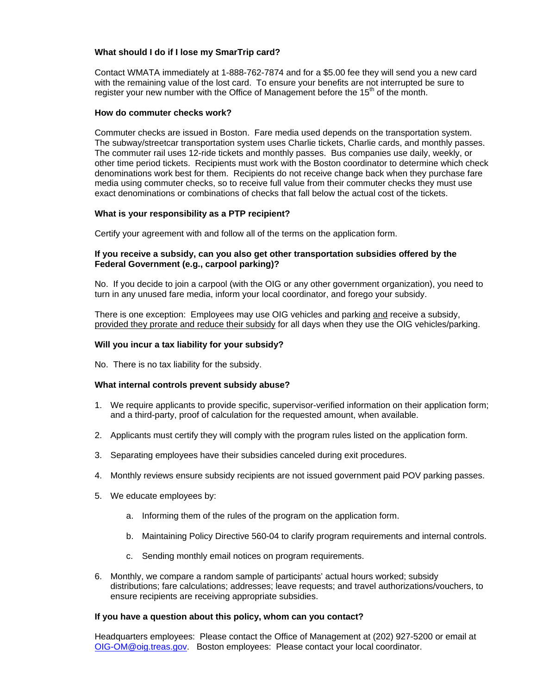### **What should I do if I lose my SmarTrip card?**

Contact WMATA immediately at 1-888-762-7874 and for a \$5.00 fee they will send you a new card with the remaining value of the lost card. To ensure your benefits are not interrupted be sure to register your new number with the Office of Management before the 15<sup>th</sup> of the month.

### **How do commuter checks work?**

Commuter checks are issued in Boston. Fare media used depends on the transportation system. The subway/streetcar transportation system uses Charlie tickets, Charlie cards, and monthly passes. The commuter rail uses 12-ride tickets and monthly passes. Bus companies use daily, weekly, or other time period tickets. Recipients must work with the Boston coordinator to determine which check denominations work best for them. Recipients do not receive change back when they purchase fare media using commuter checks, so to receive full value from their commuter checks they must use exact denominations or combinations of checks that fall below the actual cost of the tickets.

# **What is your responsibility as a PTP recipient?**

Certify your agreement with and follow all of the terms on the application form.

### **If you receive a subsidy, can you also get other transportation subsidies offered by the Federal Government (e.g., carpool parking)?**

No. If you decide to join a carpool (with the OIG or any other government organization), you need to turn in any unused fare media, inform your local coordinator, and forego your subsidy.

There is one exception: Employees may use OIG vehicles and parking and receive a subsidy, provided they prorate and reduce their subsidy for all days when they use the OIG vehicles/parking.

### **Will you incur a tax liability for your subsidy?**

No. There is no tax liability for the subsidy.

#### **What internal controls prevent subsidy abuse?**

- 1. We require applicants to provide specific, supervisor-verified information on their application form; and a third-party, proof of calculation for the requested amount, when available.
- 2. Applicants must certify they will comply with the program rules listed on the application form.
- 3. Separating employees have their subsidies canceled during exit procedures.
- 4. Monthly reviews ensure subsidy recipients are not issued government paid POV parking passes.
- 5. We educate employees by:
	- a. Informing them of the rules of the program on the application form.
	- b. Maintaining Policy Directive 560-04 to clarify program requirements and internal controls.
	- c. Sending monthly email notices on program requirements.
- 6. Monthly, we compare a random sample of participants' actual hours worked; subsidy distributions; fare calculations; addresses; leave requests; and travel authorizations/vouchers, to ensure recipients are receiving appropriate subsidies.

#### **If you have a question about this policy, whom can you contact?**

Headquarters employees: Please contact the Office of Management at (202) 927-5200 or email at OIG-OM@oig.treas.gov. Boston employees: Please contact your local coordinator.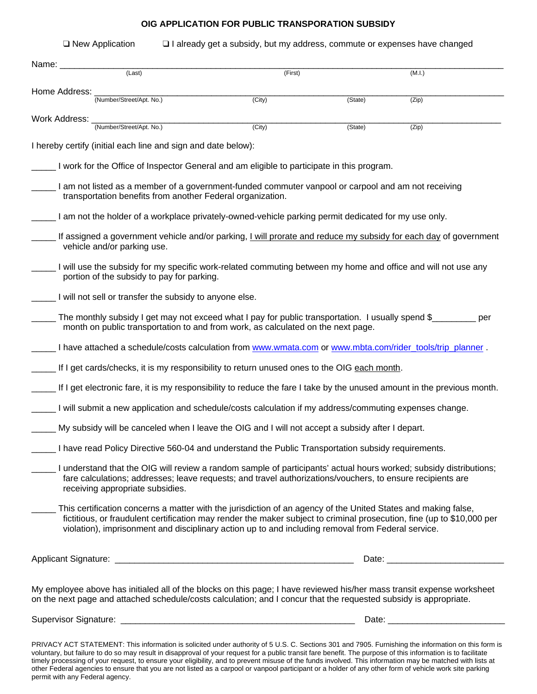# **OIG APPLICATION FOR PUBLIC TRANSPORATION SUBSIDY**

| Name: ___________ |                                                                                                                                                                                                                                                                                                                                                |         |         |        |  |
|-------------------|------------------------------------------------------------------------------------------------------------------------------------------------------------------------------------------------------------------------------------------------------------------------------------------------------------------------------------------------|---------|---------|--------|--|
|                   | (Last)                                                                                                                                                                                                                                                                                                                                         | (First) |         | (M.I.) |  |
| Home Address:     | (Number/Street/Apt. No.)                                                                                                                                                                                                                                                                                                                       | (City)  | (State) | (Zip)  |  |
| Work Address:     | (Number/Street/Apt. No.)                                                                                                                                                                                                                                                                                                                       | (City)  | (State) | (Zip)  |  |
|                   | I hereby certify (initial each line and sign and date below):                                                                                                                                                                                                                                                                                  |         |         |        |  |
|                   | I work for the Office of Inspector General and am eligible to participate in this program.                                                                                                                                                                                                                                                     |         |         |        |  |
|                   | I am not listed as a member of a government-funded commuter vanpool or carpool and am not receiving<br>transportation benefits from another Federal organization.                                                                                                                                                                              |         |         |        |  |
|                   | I am not the holder of a workplace privately-owned-vehicle parking permit dedicated for my use only.                                                                                                                                                                                                                                           |         |         |        |  |
|                   | If assigned a government vehicle and/or parking, I will prorate and reduce my subsidy for each day of government<br>vehicle and/or parking use.                                                                                                                                                                                                |         |         |        |  |
|                   | I will use the subsidy for my specific work-related commuting between my home and office and will not use any<br>portion of the subsidy to pay for parking.                                                                                                                                                                                    |         |         |        |  |
|                   | I will not sell or transfer the subsidy to anyone else.                                                                                                                                                                                                                                                                                        |         |         |        |  |
|                   | The monthly subsidy I get may not exceed what I pay for public transportation. I usually spend \$<br>month on public transportation to and from work, as calculated on the next page.                                                                                                                                                          |         |         | per    |  |
|                   | L I have attached a schedule/costs calculation from www.wmata.com or www.mbta.com/rider tools/trip planner.                                                                                                                                                                                                                                    |         |         |        |  |
|                   | If I get cards/checks, it is my responsibility to return unused ones to the OIG each month.                                                                                                                                                                                                                                                    |         |         |        |  |
|                   | If I get electronic fare, it is my responsibility to reduce the fare I take by the unused amount in the previous month.                                                                                                                                                                                                                        |         |         |        |  |
|                   | I will submit a new application and schedule/costs calculation if my address/commuting expenses change.                                                                                                                                                                                                                                        |         |         |        |  |
|                   | My subsidy will be canceled when I leave the OIG and I will not accept a subsidy after I depart.                                                                                                                                                                                                                                               |         |         |        |  |
|                   | _ I have read Policy Directive 560-04 and understand the Public Transportation subsidy requirements.                                                                                                                                                                                                                                           |         |         |        |  |
|                   | Lunderstand that the OIG will review a random sample of participants' actual hours worked; subsidy distributions;<br>fare calculations; addresses; leave requests; and travel authorizations/vouchers, to ensure recipients are<br>receiving appropriate subsidies.                                                                            |         |         |        |  |
|                   | This certification concerns a matter with the jurisdiction of an agency of the United States and making false,<br>fictitious, or fraudulent certification may render the maker subject to criminal prosecution, fine (up to \$10,000 per<br>violation), imprisonment and disciplinary action up to and including removal from Federal service. |         |         |        |  |
|                   |                                                                                                                                                                                                                                                                                                                                                |         |         |        |  |
|                   | My employee above has initialed all of the blocks on this page; I have reviewed his/her mass transit expense worksheet<br>on the next page and attached schedule/costs calculation; and I concur that the requested subsidy is appropriate.                                                                                                    |         |         |        |  |
|                   |                                                                                                                                                                                                                                                                                                                                                |         |         |        |  |

voluntary, but failure to do so may result in disapproval of your request for a public transit fare benefit. The purpose of this information is to facilitate timely processing of your request, to ensure your eligibility, and to prevent misuse of the funds involved. This information may be matched with lists at other Federal agencies to ensure that you are not listed as a carpool or vanpool participant or a holder of any other form of vehicle work site parking permit with any Federal agency.